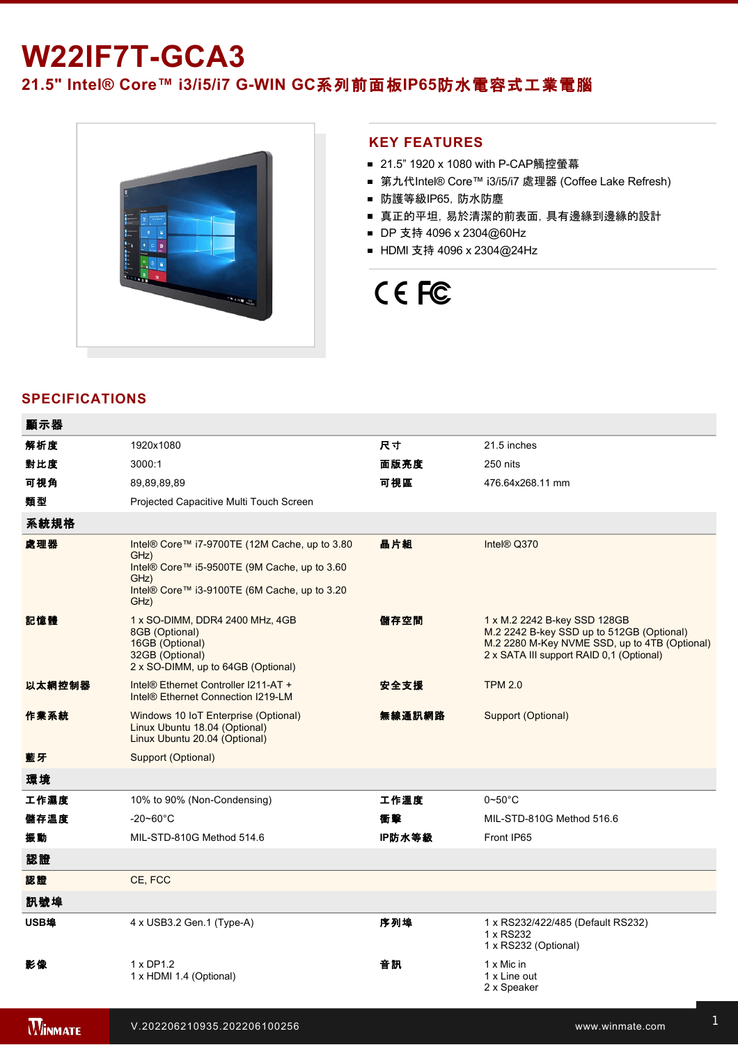## **W22IF7T-GCA3**

21.5" Intel® Core™ i3/i5/i7 G-WIN GC系列前面板IP65防水電容式工業電腦



#### **KEY FEATURES**

- 21.5" 1920 x 1080 with P-CAP觸控螢幕
- 第九代Intel® Core™ i3/i5/i7 處理器 (Coffee Lake Refresh)
- 防護等級IP65, 防水防塵
- 真正的平坦,易於清潔的前表面,具有邊緣到邊緣的設計
- DP 支持 4096 x 2304@60Hz
- HDMI 支持 4096 x 2304@24Hz

# CE FC

### **SPECIFICATIONS**

| 顯示器    |                                                                                                                                                                       |        |                                                                                                                                                                        |
|--------|-----------------------------------------------------------------------------------------------------------------------------------------------------------------------|--------|------------------------------------------------------------------------------------------------------------------------------------------------------------------------|
| 解析度    | 1920x1080                                                                                                                                                             | 尺寸     | 21.5 inches                                                                                                                                                            |
| 對比度    | 3000:1                                                                                                                                                                | 面版亮度   | 250 nits                                                                                                                                                               |
| 可視角    | 89,89,89,89                                                                                                                                                           | 可視區    | 476.64x268.11 mm                                                                                                                                                       |
| 類型     | Projected Capacitive Multi Touch Screen                                                                                                                               |        |                                                                                                                                                                        |
| 系統規格   |                                                                                                                                                                       |        |                                                                                                                                                                        |
| 處理器    | Intel® Core™ i7-9700TE (12M Cache, up to 3.80<br>GHz)<br>Intel® Core™ i5-9500TE (9M Cache, up to 3.60<br>GHz)<br>Intel® Core™ i3-9100TE (6M Cache, up to 3.20<br>GHz) | 晶片組    | Intel <sup>®</sup> Q370                                                                                                                                                |
| 記憶體    | 1 x SO-DIMM, DDR4 2400 MHz, 4GB<br>8GB (Optional)<br>16GB (Optional)<br>32GB (Optional)<br>2 x SO-DIMM, up to 64GB (Optional)                                         | 儲存空間   | 1 x M.2 2242 B-key SSD 128GB<br>M.2 2242 B-key SSD up to 512GB (Optional)<br>M.2 2280 M-Key NVME SSD, up to 4TB (Optional)<br>2 x SATA III support RAID 0,1 (Optional) |
| 以太網控制器 | Intel® Ethernet Controller I211-AT +<br>Intel® Ethernet Connection I219-LM                                                                                            | 安全支援   | <b>TPM 2.0</b>                                                                                                                                                         |
| 作業系統   | Windows 10 IoT Enterprise (Optional)<br>Linux Ubuntu 18.04 (Optional)<br>Linux Ubuntu 20.04 (Optional)                                                                | 無線通訊網路 | Support (Optional)                                                                                                                                                     |
| 藍牙     | <b>Support (Optional)</b>                                                                                                                                             |        |                                                                                                                                                                        |
| 環境     |                                                                                                                                                                       |        |                                                                                                                                                                        |
| 工作濕度   | 10% to 90% (Non-Condensing)                                                                                                                                           | 工作溫度   | $0\neg 50^\circ C$                                                                                                                                                     |
| 儲存溫度   | $-20 - 60^{\circ}$ C                                                                                                                                                  | 衝擊     | MIL-STD-810G Method 516.6                                                                                                                                              |
| 振動     | MIL-STD-810G Method 514.6                                                                                                                                             | IP防水等級 | Front IP65                                                                                                                                                             |
| 認證     |                                                                                                                                                                       |        |                                                                                                                                                                        |
| 認證     | CE, FCC                                                                                                                                                               |        |                                                                                                                                                                        |
| 訊號埠    |                                                                                                                                                                       |        |                                                                                                                                                                        |
| USB埠   | 4 x USB3.2 Gen.1 (Type-A)                                                                                                                                             | 序列埠    | 1 x RS232/422/485 (Default RS232)<br>1 x RS232<br>1 x RS232 (Optional)                                                                                                 |
| 影像     | 1 x DP1.2<br>1 x HDMI 1.4 (Optional)                                                                                                                                  | 音訊     | 1 x Mic in<br>1 x Line out<br>2 x Speaker                                                                                                                              |

擴充端口 2 x M.2 slot(1 for WiFi, 1 for SSD)

有線網路 2 x Giga LAN RJ45 Connector